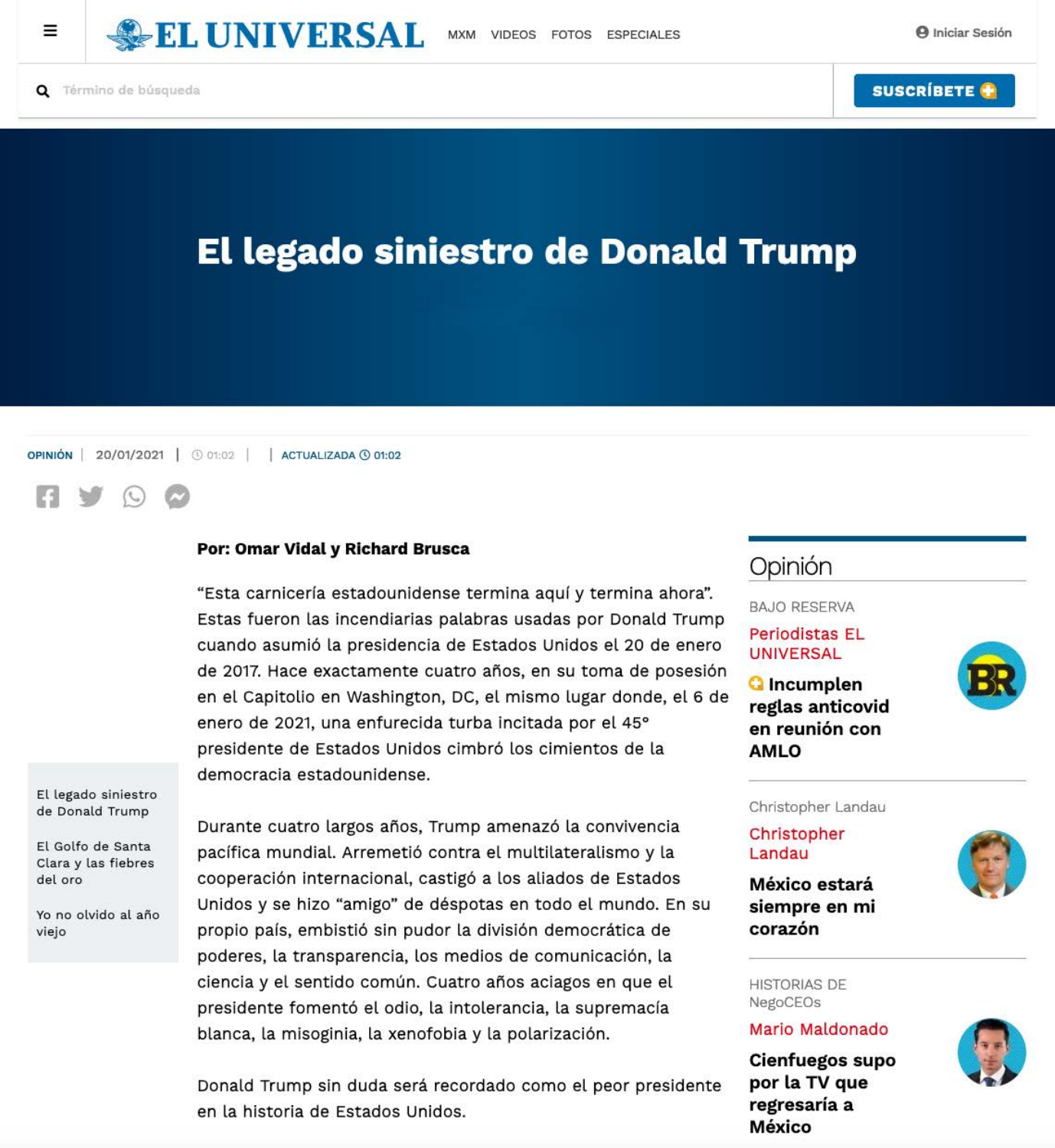

**Q** Término de búsqueda



# **El legado siniestro de Donald Trump**



#### Por: Omar Vidal y Richard Brusca

"Esta carnicería estadounidense termina aquí y termina ahora". Estas fueron las incendiarias palabras usadas por Donald Trump cuando asumió la presidencia de Estados Unidos el 20 de enero de 2017. Hace exactamente cuatro años, en su toma de posesión en el Capitolio en Washington, DC, el mismo lugar donde, el 6 de enero de 2021, una enfurecida turba incitada por el 45° presidente de Estados Unidos cimbró los cimientos de la democracia estadounidense.

El legado siniestro de Donald Trump

Durante cuatro largos años, Trump amenazó la convivencia

## Opinión

**BAJO RESERVA** 

**Periodistas EL UNIVERSAL** 

**Q** Incumplen

reglas anticovid

en reunión con



Christopher Landau



El Golfo de Santa Clara y las fiebres del oro

Yo no olvido al año viejo

pacífica mundial. Arremetió contra el multilateralismo y la cooperación internacional, castigó a los aliados de Estados Unidos y se hizo "amigo" de déspotas en todo el mundo. En su propio país, embistió sin pudor la división democrática de poderes, la transparencia, los medios de comunicación, la ciencia y el sentido común. Cuatro años aciagos en que el presidente fomentó el odio, la intolerancia, la supremacía blanca, la misoginia, la xenofobia y la polarización.

Donald Trump sin duda será recordado como el peor presidente en la historia de Estados Unidos.



**AMLO** 

México estará siempre en mi corazón



**HISTORIAS DE** NegoCEOs

Mario Maldonado

**Cienfuegos supo** por la TV que regresaría a México

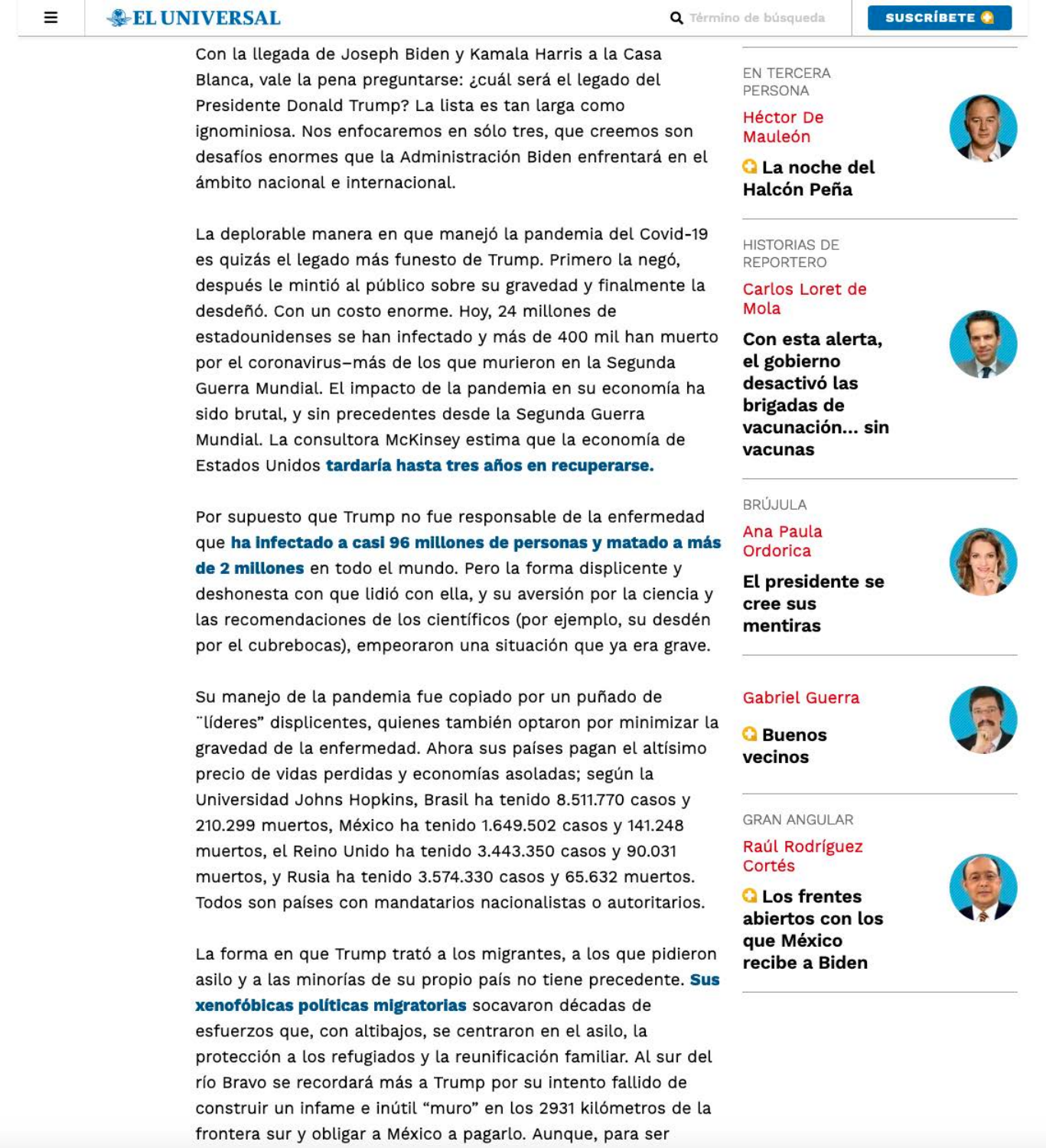## **EL UNIVERSAL**

≡

Con la llegada de Joseph Biden y Kamala Harris a la Casa Blanca, vale la pena preguntarse: ¿cuál será el legado del Presidente Donald Trump? La lista es tan larga como ignominiosa. Nos enfocaremos en sólo tres, que creemos son desafíos enormes que la Administración Biden enfrentará en el ámbito nacional e internacional.

La deplorable manera en que manejó la pandemia del Covid-19 es quizás el legado más funesto de Trump. Primero la negó, después le mintió al público sobre su gravedad y finalmente la desdeñó. Con un costo enorme. Hoy, 24 millones de estadounidenses se han infectado y más de 400 mil han muerto por el coronavirus-más de los que murieron en la Segunda Guerra Mundial. El impacto de la pandemia en su economía ha sido brutal, y sin precedentes desde la Segunda Guerra Mundial. La consultora McKinsey estima que la economía de Estados Unidos tardaría hasta tres años en recuperarse.

Por supuesto que Trump no fue responsable de la enfermedad que ha infectado a casi 96 millones de personas y matado a más de 2 millones en todo el mundo. Pero la forma displicente y deshonesta con que lidió con ella, y su aversión por la ciencia y las recomendaciones de los científicos (por ejemplo, su desdén por el cubrebocas), empeoraron una situación que ya era grave.

Su manejo de la pandemia fue copiado por un puñado de "líderes" displicentes, quienes también optaron por minimizar la gravedad de la enfermedad. Ahora sus países pagan el altísimo precio de vidas perdidas y economías asoladas; según la Universidad Johns Hopkins, Brasil ha tenido 8.511.770 casos y 210.299 muertos, México ha tenido 1.649.502 casos y 141.248 muertos, el Reino Unido ha tenido 3.443.350 casos y 90.031 muertos, y Rusia ha tenido 3.574.330 casos y 65.632 muertos. Todos son países con mandatarios nacionalistas o autoritarios.

EN TERCERA PERSONA

**Héctor De** Mauleón



## **Q** La noche del Halcón Peña

**HISTORIAS DE REPORTERO** 

#### Carlos Loret de Mola

Con esta alerta, el gobierno desactivó las brigadas de vacunación... sin vacunas



#### **BRÚJULA**

Ana Paula Ordorica





#### **Gabriel Guerra**

**G** Buenos vecinos



**GRAN ANGULAR** 

La forma en que Trump trató a los migrantes, a los que pidieron asilo y a las minorías de su propio país no tiene precedente. Sus xenofóbicas políticas migratorias socavaron décadas de esfuerzos que, con altibajos, se centraron en el asilo, la protección a los refugiados y la reunificación familiar. Al sur del río Bravo se recordará más a Trump por su intento fallido de construir un infame e inútil "muro" en los 2931 kilómetros de la frontera sur y obligar a México a pagarlo. Aunque, para ser

Raúl Rodríguez Cortés

### **Q** Los frentes abiertos con los que México

recibe a Biden

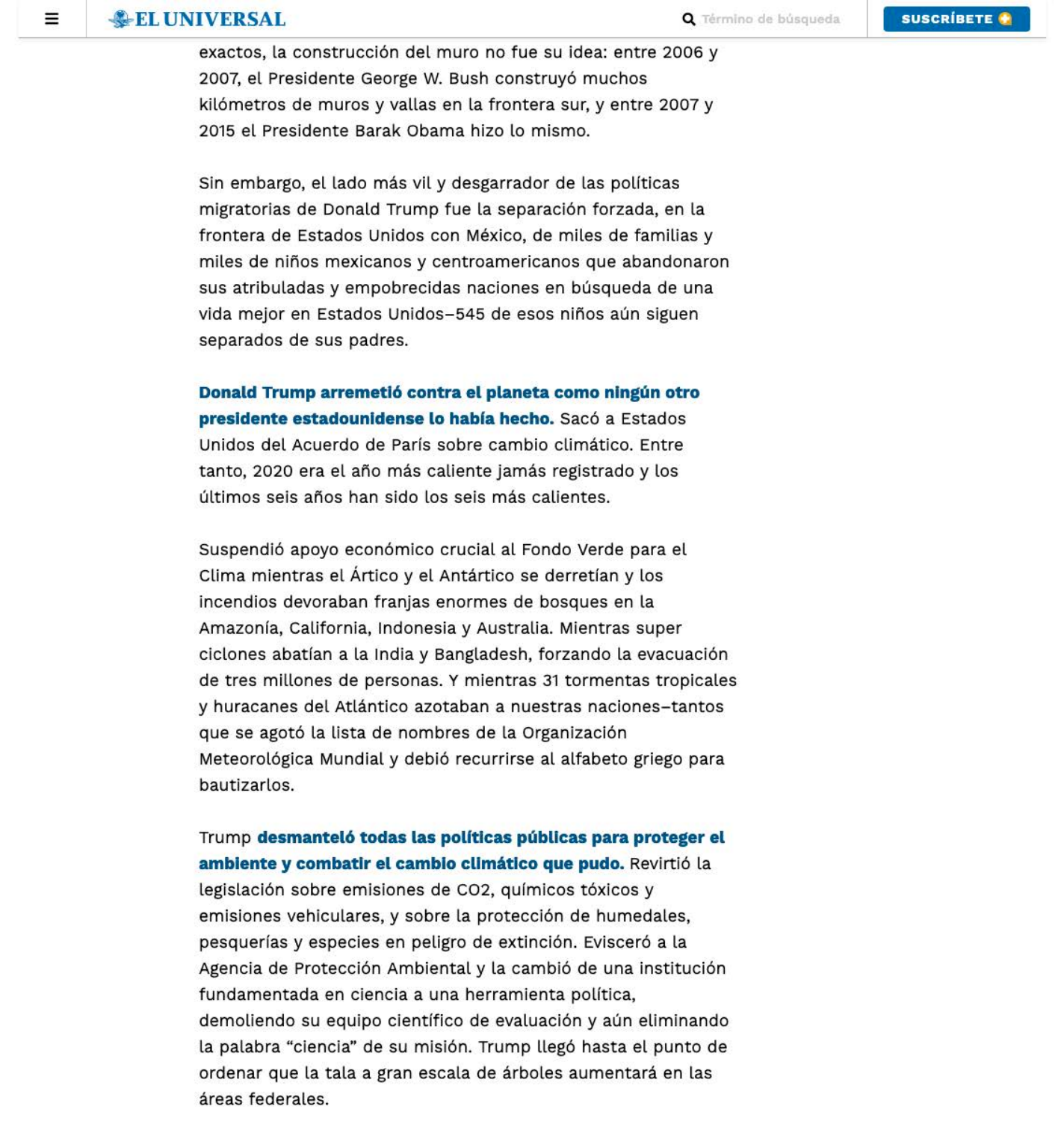exactos, la construcción del muro no fue su idea: entre 2006 y 2007, el Presidente George W. Bush construyó muchos kilómetros de muros y vallas en la frontera sur, y entre 2007 y 2015 el Presidente Barak Obama hizo lo mismo.

Sin embargo, el lado más vil y desgarrador de las políticas migratorias de Donald Trump fue la separación forzada, en la frontera de Estados Unidos con México, de miles de familias y miles de niños mexicanos y centroamericanos que abandonaron sus atribuladas y empobrecidas naciones en búsqueda de una vida mejor en Estados Unidos-545 de esos niños aún siguen separados de sus padres.

Donald Trump arremetió contra el planeta como ningún otro presidente estadounidense lo había hecho. Sacó a Estados Unidos del Acuerdo de París sobre cambio climático. Entre tanto, 2020 era el año más caliente jamás registrado y los últimos seis años han sido los seis más calientes.

Suspendió apoyo económico crucial al Fondo Verde para el Clima mientras el Ártico y el Antártico se derretían y los incendios devoraban franjas enormes de bosques en la Amazonía, California, Indonesia y Australia. Mientras super ciclones abatían a la India y Bangladesh, forzando la evacuación de tres millones de personas. Y mientras 31 tormentas tropicales y huracanes del Atlántico azotaban a nuestras naciones-tantos que se agotó la lista de nombres de la Organización Meteorológica Mundial y debió recurrirse al alfabeto griego para bautizarlos.

Trump desmanteló todas las políticas públicas para proteger el

ambiente y combatir el cambio climático que pudo. Revirtió la legislación sobre emisiones de CO2, químicos tóxicos y emisiones vehiculares, y sobre la protección de humedales, pesquerías y especies en peligro de extinción. Evisceró a la Agencia de Protección Ambiental y la cambió de una institución fundamentada en ciencia a una herramienta política, demoliendo su equipo científico de evaluación y aún eliminando la palabra "ciencia" de su misión. Trump llegó hasta el punto de ordenar que la tala a gran escala de árboles aumentará en las áreas federales.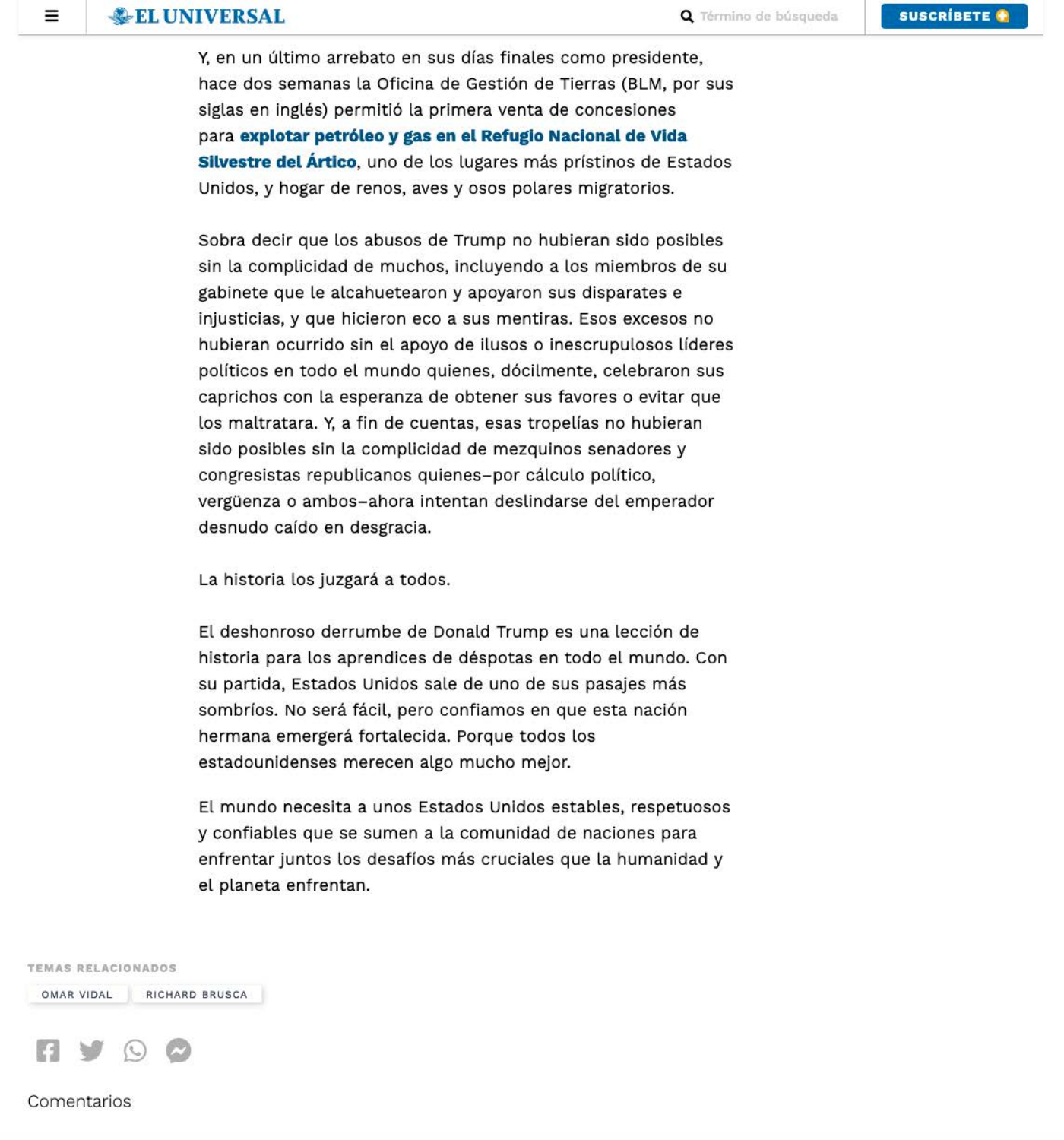Ξ

Y, en un último arrebato en sus días finales como presidente, hace dos semanas la Oficina de Gestión de Tierras (BLM, por sus siglas en inglés) permitió la primera venta de concesiones para explotar petróleo y gas en el Refugio Nacional de Vida Silvestre del Ártico, uno de los lugares más prístinos de Estados Unidos, y hogar de renos, aves y osos polares migratorios.

Sobra decir que los abusos de Trump no hubieran sido posibles sin la complicidad de muchos, incluyendo a los miembros de su gabinete que le alcahuetearon y apoyaron sus disparates e injusticias, y que hicieron eco a sus mentiras. Esos excesos no hubieran ocurrido sin el apoyo de ilusos o inescrupulosos líderes políticos en todo el mundo quienes, dócilmente, celebraron sus caprichos con la esperanza de obtener sus favores o evitar que los maltratara. Y, a fin de cuentas, esas tropelías no hubieran sido posibles sin la complicidad de mezquinos senadores y congresistas republicanos quienes-por cálculo político, vergüenza o ambos-ahora intentan deslindarse del emperador desnudo caído en desgracia.

La historia los juzgará a todos.

El deshonroso derrumbe de Donald Trump es una lección de historia para los aprendices de déspotas en todo el mundo. Con su partida, Estados Unidos sale de uno de sus pasajes más sombríos. No será fácil, pero confiamos en que esta nación hermana emergerá fortalecida. Porque todos los estadounidenses merecen algo mucho mejor.

El mundo necesita a unos Estados Unidos estables, respetuosos y confiables que se sumen a la comunidad de naciones para

enfrentar juntos los desafíos más cruciales que la humanidad y el planeta enfrentan.

**TEMAS RELACIONADOS** 

RICHARD BRUSCA OMAR VIDAL

Comentarios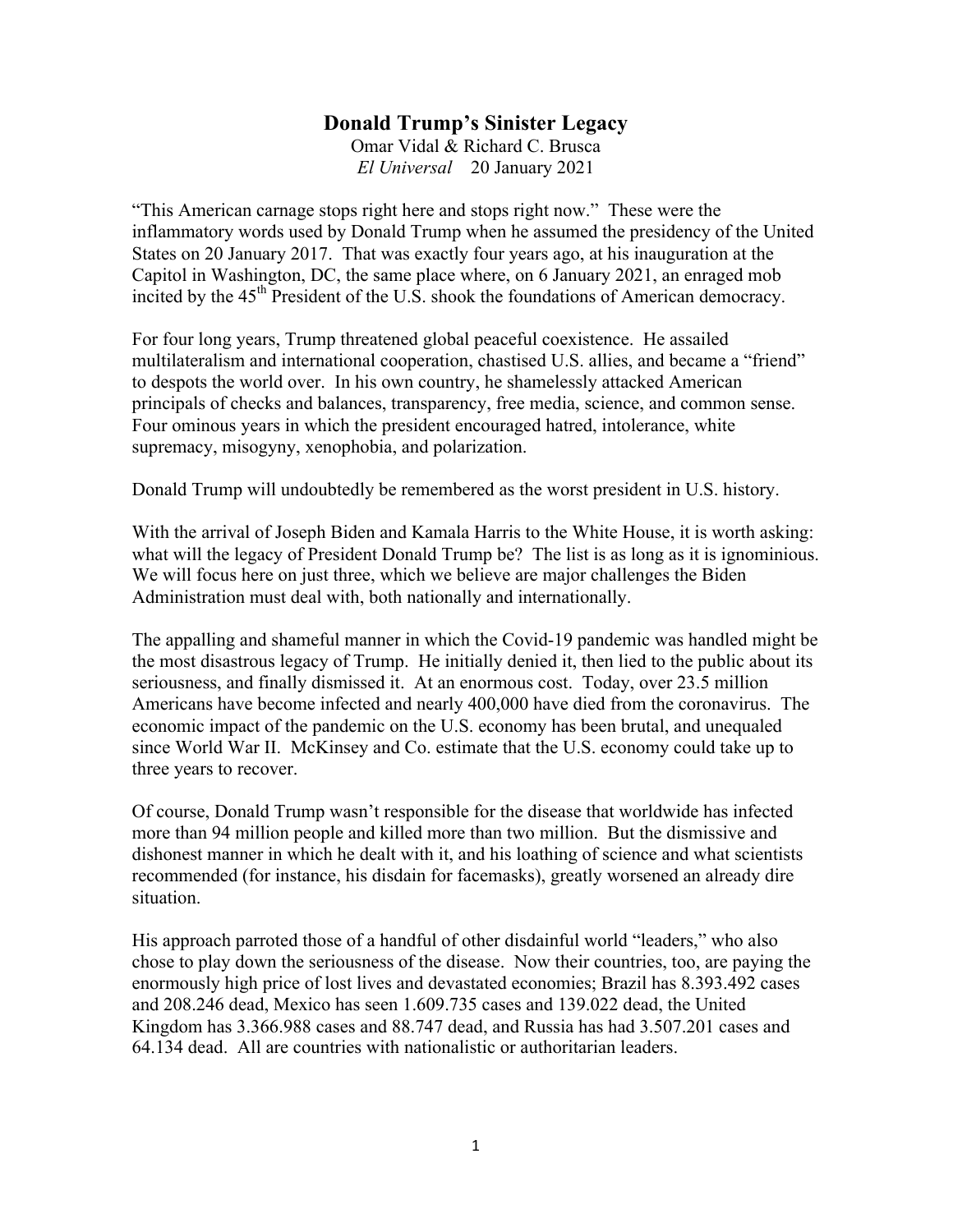#### **Donald Trump's Sinister Legacy**

Omar Vidal & Richard C. Brusca *El Universal* 20 January 2021

"This American carnage stops right here and stops right now." These were the inflammatory words used by Donald Trump when he assumed the presidency of the United States on 20 January 2017. That was exactly four years ago, at his inauguration at the Capitol in Washington, DC, the same place where, on 6 January 2021, an enraged mob incited by the 45<sup>th</sup> President of the U.S. shook the foundations of American democracy.

For four long years, Trump threatened global peaceful coexistence. He assailed multilateralism and international cooperation, chastised U.S. allies, and became a "friend" to despots the world over. In his own country, he shamelessly attacked American principals of checks and balances, transparency, free media, science, and common sense. Four ominous years in which the president encouraged hatred, intolerance, white supremacy, misogyny, xenophobia, and polarization.

Donald Trump will undoubtedly be remembered as the worst president in U.S. history.

With the arrival of Joseph Biden and Kamala Harris to the White House, it is worth asking: what will the legacy of President Donald Trump be? The list is as long as it is ignominious. We will focus here on just three, which we believe are major challenges the Biden Administration must deal with, both nationally and internationally.

The appalling and shameful manner in which the Covid-19 pandemic was handled might be the most disastrous legacy of Trump. He initially denied it, then lied to the public about its seriousness, and finally dismissed it. At an enormous cost. Today, over 23.5 million Americans have become infected and nearly 400,000 have died from the coronavirus. The economic impact of the pandemic on the U.S. economy has been brutal, and unequaled since World War II. McKinsey and Co. estimate that the U.S. economy could take up to three years to recover.

Of course, Donald Trump wasn't responsible for the disease that worldwide has infected more than 94 million people and killed more than two million. But the dismissive and dishonest manner in which he dealt with it, and his loathing of science and what scientists recommended (for instance, his disdain for facemasks), greatly worsened an already dire situation.

His approach parroted those of a handful of other disdainful world "leaders," who also chose to play down the seriousness of the disease. Now their countries, too, are paying the enormously high price of lost lives and devastated economies; Brazil has 8.393.492 cases and 208.246 dead, Mexico has seen 1.609.735 cases and 139.022 dead, the United Kingdom has 3.366.988 cases and 88.747 dead, and Russia has had 3.507.201 cases and 64.134 dead. All are countries with nationalistic or authoritarian leaders.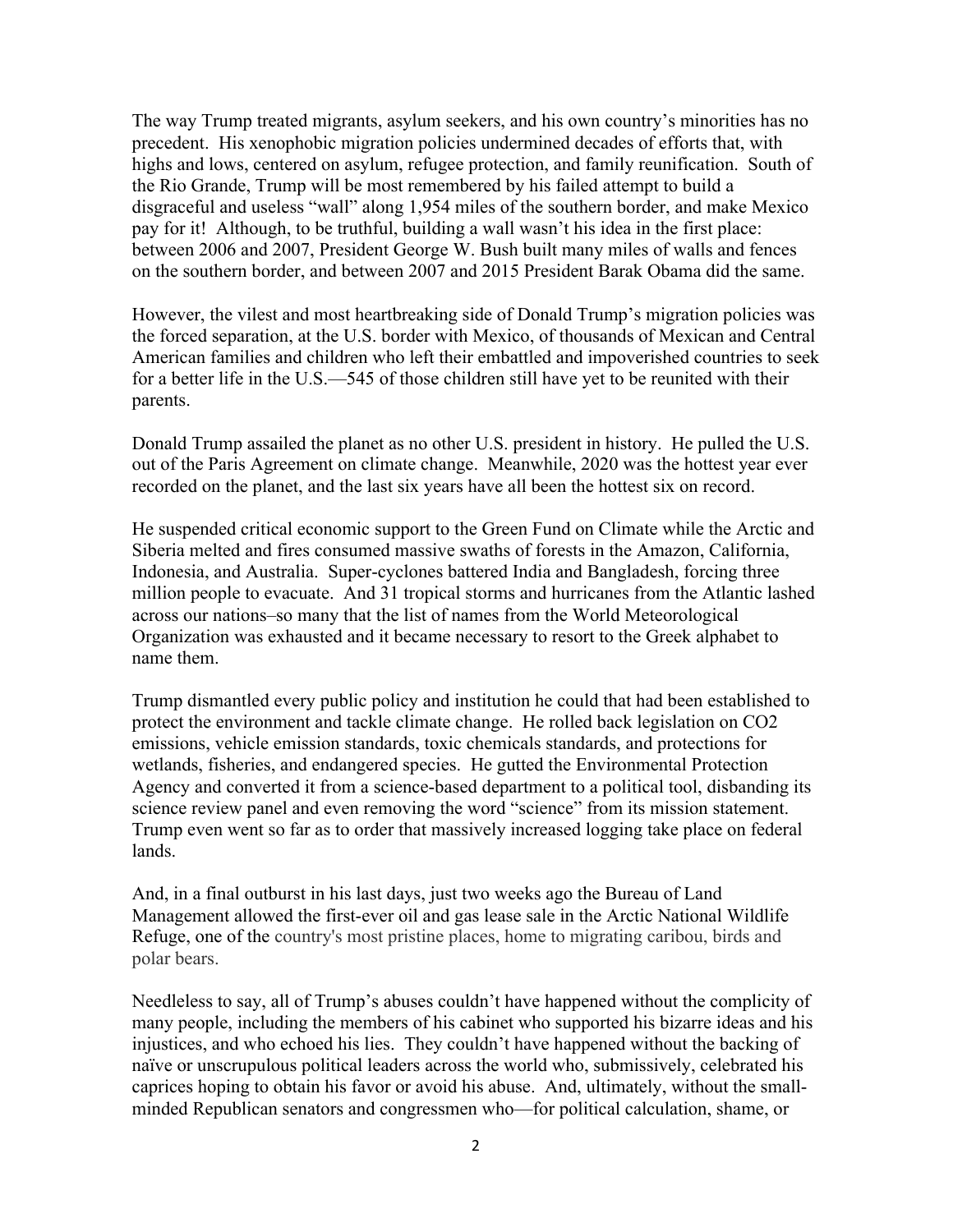The way Trump treated migrants, asylum seekers, and his own country's minorities has no precedent. His xenophobic migration policies undermined decades of efforts that, with highs and lows, centered on asylum, refugee protection, and family reunification. South of the Rio Grande, Trump will be most remembered by his failed attempt to build a disgraceful and useless "wall" along 1,954 miles of the southern border, and make Mexico pay for it! Although, to be truthful, building a wall wasn't his idea in the first place: between 2006 and 2007, President George W. Bush built many miles of walls and fences on the southern border, and between 2007 and 2015 President Barak Obama did the same.

However, the vilest and most heartbreaking side of Donald Trump's migration policies was the forced separation, at the U.S. border with Mexico, of thousands of Mexican and Central American families and children who left their embattled and impoverished countries to seek for a better life in the U.S.—545 of those children still have yet to be reunited with their parents.

Donald Trump assailed the planet as no other U.S. president in history. He pulled the U.S. out of the Paris Agreement on climate change. Meanwhile, 2020 was the hottest year ever recorded on the planet, and the last six years have all been the hottest six on record.

He suspended critical economic support to the Green Fund on Climate while the Arctic and Siberia melted and fires consumed massive swaths of forests in the Amazon, California, Indonesia, and Australia. Super-cyclones battered India and Bangladesh, forcing three million people to evacuate. And 31 tropical storms and hurricanes from the Atlantic lashed across our nations–so many that the list of names from the World Meteorological Organization was exhausted and it became necessary to resort to the Greek alphabet to name them.

Trump dismantled every public policy and institution he could that had been established to protect the environment and tackle climate change. He rolled back legislation on CO2 emissions, vehicle emission standards, toxic chemicals standards, and protections for wetlands, fisheries, and endangered species. He gutted the Environmental Protection Agency and converted it from a science-based department to a political tool, disbanding its science review panel and even removing the word "science" from its mission statement. Trump even went so far as to order that massively increased logging take place on federal lands.

And, in a final outburst in his last days, just two weeks ago the Bureau of Land Management allowed the first-ever oil and gas lease sale in the Arctic National Wildlife Refuge, one of the country's most pristine places, home to migrating caribou, birds and polar bears.

Needleless to say, all of Trump's abuses couldn't have happened without the complicity of many people, including the members of his cabinet who supported his bizarre ideas and his injustices, and who echoed his lies. They couldn't have happened without the backing of naïve or unscrupulous political leaders across the world who, submissively, celebrated his caprices hoping to obtain his favor or avoid his abuse. And, ultimately, without the smallminded Republican senators and congressmen who—for political calculation, shame, or